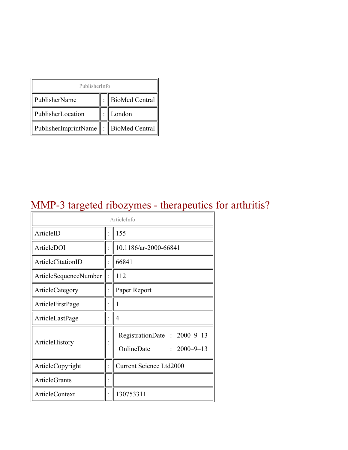| PublisherInfo                                   |  |                    |  |  |
|-------------------------------------------------|--|--------------------|--|--|
| PublisherName                                   |  | :   BioMed Central |  |  |
| PublisherLocation                               |  | London             |  |  |
| PublisherImprintName $\ \cdot\ $ BioMed Central |  |                    |  |  |

## MMP-3 targeted ribozymes - therapeutics for arthritis?

| ArticleInfo           |  |                                                                |  |
|-----------------------|--|----------------------------------------------------------------|--|
| ArticleID             |  | 155                                                            |  |
| ArticleDOI            |  | 10.1186/ar-2000-66841                                          |  |
| ArticleCitationID     |  | 66841                                                          |  |
| ArticleSequenceNumber |  | 112                                                            |  |
| ArticleCategory       |  | Paper Report                                                   |  |
| ArticleFirstPage      |  | 1                                                              |  |
| ArticleLastPage       |  | 4                                                              |  |
| ArticleHistory        |  | RegistrationDate: 2000-9-13<br>OnlineDate<br>$: 2000 - 9 - 13$ |  |
| ArticleCopyright      |  | <b>Current Science Ltd2000</b>                                 |  |
| <b>ArticleGrants</b>  |  |                                                                |  |
| <b>ArticleContext</b> |  | 130753311                                                      |  |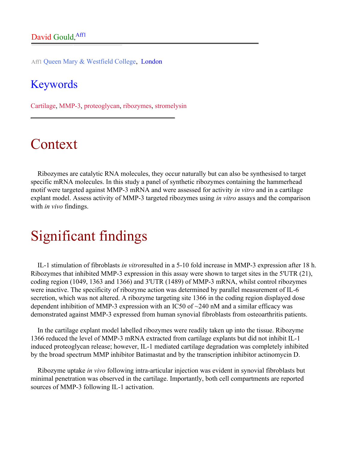Aff1 Queen Mary & Westfield College, London

#### Keywords

Cartilage, MMP-3, proteoglycan, ribozymes, stromelysin

## Context

Ribozymes are catalytic RNA molecules, they occur naturally but can also be synthesised to target specific mRNA molecules. In this study a panel of synthetic ribozymes containing the hammerhead motif were targeted against MMP-3 mRNA and were assessed for activity *in vitro* and in a cartilage explant model. Assess activity of MMP-3 targeted ribozymes using *in vitro* assays and the comparison with *in vivo* findings.

# Significant findings

IL-1 stimulation of fibroblasts *in vitro*resulted in a 5-10 fold increase in MMP-3 expression after 18 h. Ribozymes that inhibited MMP-3 expression in this assay were shown to target sites in the 5'UTR (21), coding region (1049, 1363 and 1366) and 3'UTR (1489) of MMP-3 mRNA, whilst control ribozymes were inactive. The specificity of ribozyme action was determined by parallel measurement of IL-6 secretion, which was not altered. A ribozyme targeting site 1366 in the coding region displayed dose dependent inhibition of MMP-3 expression with an IC50 of ~240 nM and a similar efficacy was demonstrated against MMP-3 expressed from human synovial fibroblasts from osteoarthritis patients.

In the cartilage explant model labelled ribozymes were readily taken up into the tissue. Ribozyme 1366 reduced the level of MMP-3 mRNA extracted from cartilage explants but did not inhibit IL-1 induced proteoglycan release; however, IL-1 mediated cartilage degradation was completely inhibited by the broad spectrum MMP inhibitor Batimastat and by the transcription inhibitor actinomycin D.

Ribozyme uptake *in vivo* following intra-articular injection was evident in synovial fibroblasts but minimal penetration was observed in the cartilage. Importantly, both cell compartments are reported sources of MMP-3 following IL-1 activation.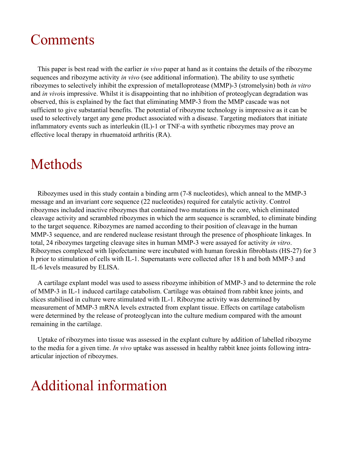## Comments

This paper is best read with the earlier *in vivo* paper at hand as it contains the details of the ribozyme sequences and ribozyme activity *in vivo* (see additional information). The ability to use synthetic ribozymes to selectively inhibit the expression of metalloprotease (MMP)-3 (stromelysin) both *in vitro* and *in vivo*is impressive. Whilst it is disappointing that no inhibition of proteoglycan degradation was observed, this is explained by the fact that eliminating MMP-3 from the MMP cascade was not sufficient to give substantial benefits. The potential of ribozyme technology is impressive as it can be used to selectively target any gene product associated with a disease. Targeting mediators that initiate inflammatory events such as interleukin (IL)-1 or TNF-a with synthetic ribozymes may prove an effective local therapy in rhuematoid arthritis (RA).

## Methods

Ribozymes used in this study contain a binding arm (7-8 nucleotides), which anneal to the MMP-3 message and an invariant core sequence (22 nucleotides) required for catalytic activity. Control ribozymes included inactive ribozymes that contained two mutations in the core, which eliminated cleavage activity and scrambled ribozymes in which the arm sequence is scrambled, to eliminate binding to the target sequence. Ribozymes are named according to their position of cleavage in the human MMP-3 sequence, and are rendered nuclease resistant through the presence of phosphioate linkages. In total, 24 ribozymes targeting cleavage sites in human MMP-3 were assayed for activity *in vitro*. Ribozymes complexed with lipofectamine were incubated with human foreskin fibroblasts (HS-27) for 3 h prior to stimulation of cells with IL-1. Supernatants were collected after 18 h and both MMP-3 and IL-6 levels measured by ELISA.

A cartilage explant model was used to assess ribozyme inhibition of MMP-3 and to determine the role of MMP-3 in IL-1 induced cartilage catabolism. Cartilage was obtained from rabbit knee joints, and slices stabilised in culture were stimulated with IL-1. Ribozyme activity was determined by measurement of MMP-3 mRNA levels extracted from explant tissue. Effects on cartilage catabolism were determined by the release of proteoglycan into the culture medium compared with the amount remaining in the cartilage.

Uptake of ribozymes into tissue was assessed in the explant culture by addition of labelled ribozyme to the media for a given time. *In vivo* uptake was assessed in healthy rabbit knee joints following intraarticular injection of ribozymes.

## Additional information